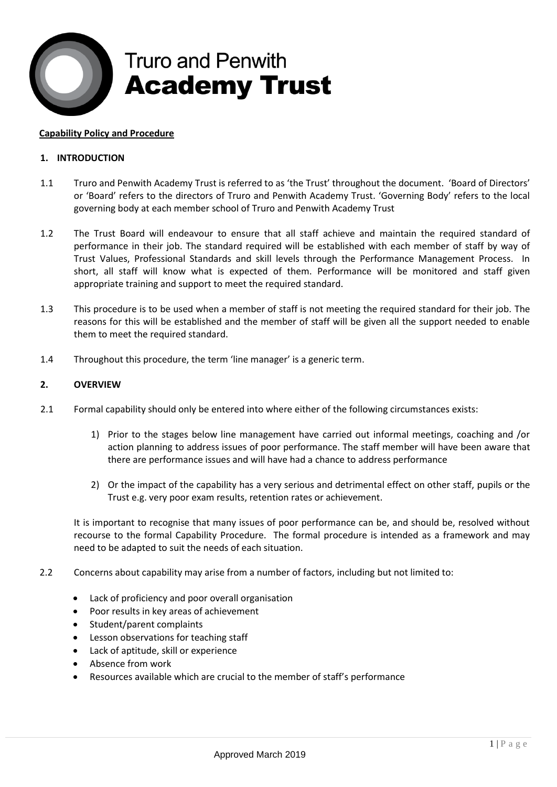

# **Truro and Penwith Academy Trust**

#### **Capability Policy and Procedure**

## **1. INTRODUCTION**

- 1.1 Truro and Penwith Academy Trust is referred to as 'the Trust' throughout the document. 'Board of Directors' or 'Board' refers to the directors of Truro and Penwith Academy Trust. 'Governing Body' refers to the local governing body at each member school of Truro and Penwith Academy Trust
- 1.2 The Trust Board will endeavour to ensure that all staff achieve and maintain the required standard of performance in their job. The standard required will be established with each member of staff by way of Trust Values, Professional Standards and skill levels through the Performance Management Process. In short, all staff will know what is expected of them. Performance will be monitored and staff given appropriate training and support to meet the required standard.
- 1.3 This procedure is to be used when a member of staff is not meeting the required standard for their job. The reasons for this will be established and the member of staff will be given all the support needed to enable them to meet the required standard.
- 1.4 Throughout this procedure, the term 'line manager' is a generic term.

#### **2. OVERVIEW**

- 2.1 Formal capability should only be entered into where either of the following circumstances exists:
	- 1) Prior to the stages below line management have carried out informal meetings, coaching and /or action planning to address issues of poor performance. The staff member will have been aware that there are performance issues and will have had a chance to address performance
	- 2) Or the impact of the capability has a very serious and detrimental effect on other staff, pupils or the Trust e.g. very poor exam results, retention rates or achievement.

It is important to recognise that many issues of poor performance can be, and should be, resolved without recourse to the formal Capability Procedure. The formal procedure is intended as a framework and may need to be adapted to suit the needs of each situation.

- 2.2 Concerns about capability may arise from a number of factors, including but not limited to:
	- Lack of proficiency and poor overall organisation
	- Poor results in key areas of achievement
	- Student/parent complaints
	- Lesson observations for teaching staff
	- Lack of aptitude, skill or experience
	- Absence from work
	- Resources available which are crucial to the member of staff's performance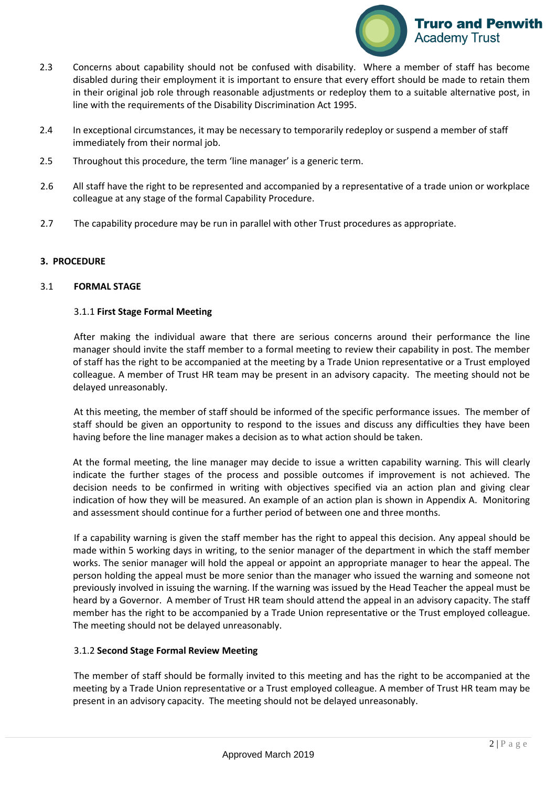

- 2.3 Concerns about capability should not be confused with disability. Where a member of staff has become disabled during their employment it is important to ensure that every effort should be made to retain them in their original job role through reasonable adjustments or redeploy them to a suitable alternative post, in line with the requirements of the Disability Discrimination Act 1995.
- 2.4 In exceptional circumstances, it may be necessary to temporarily redeploy or suspend a member of staff immediately from their normal job.
- 2.5 Throughout this procedure, the term 'line manager' is a generic term.
- 2.6 All staff have the right to be represented and accompanied by a representative of a trade union or workplace colleague at any stage of the formal Capability Procedure.
- 2.7 The capability procedure may be run in parallel with other Trust procedures as appropriate.

#### **3. PROCEDURE**

#### 3.1 **FORMAL STAGE**

#### 3.1.1 **First Stage Formal Meeting**

After making the individual aware that there are serious concerns around their performance the line manager should invite the staff member to a formal meeting to review their capability in post. The member of staff has the right to be accompanied at the meeting by a Trade Union representative or a Trust employed colleague. A member of Trust HR team may be present in an advisory capacity. The meeting should not be delayed unreasonably.

At this meeting, the member of staff should be informed of the specific performance issues. The member of staff should be given an opportunity to respond to the issues and discuss any difficulties they have been having before the line manager makes a decision as to what action should be taken.

At the formal meeting, the line manager may decide to issue a written capability warning. This will clearly indicate the further stages of the process and possible outcomes if improvement is not achieved. The decision needs to be confirmed in writing with objectives specified via an action plan and giving clear indication of how they will be measured. An example of an action plan is shown in Appendix A. Monitoring and assessment should continue for a further period of between one and three months.

If a capability warning is given the staff member has the right to appeal this decision. Any appeal should be made within 5 working days in writing, to the senior manager of the department in which the staff member works. The senior manager will hold the appeal or appoint an appropriate manager to hear the appeal. The person holding the appeal must be more senior than the manager who issued the warning and someone not previously involved in issuing the warning. If the warning was issued by the Head Teacher the appeal must be heard by a Governor. A member of Trust HR team should attend the appeal in an advisory capacity. The staff member has the right to be accompanied by a Trade Union representative or the Trust employed colleague. The meeting should not be delayed unreasonably.

#### 3.1.2 **Second Stage Formal Review Meeting**

The member of staff should be formally invited to this meeting and has the right to be accompanied at the meeting by a Trade Union representative or a Trust employed colleague. A member of Trust HR team may be present in an advisory capacity. The meeting should not be delayed unreasonably.